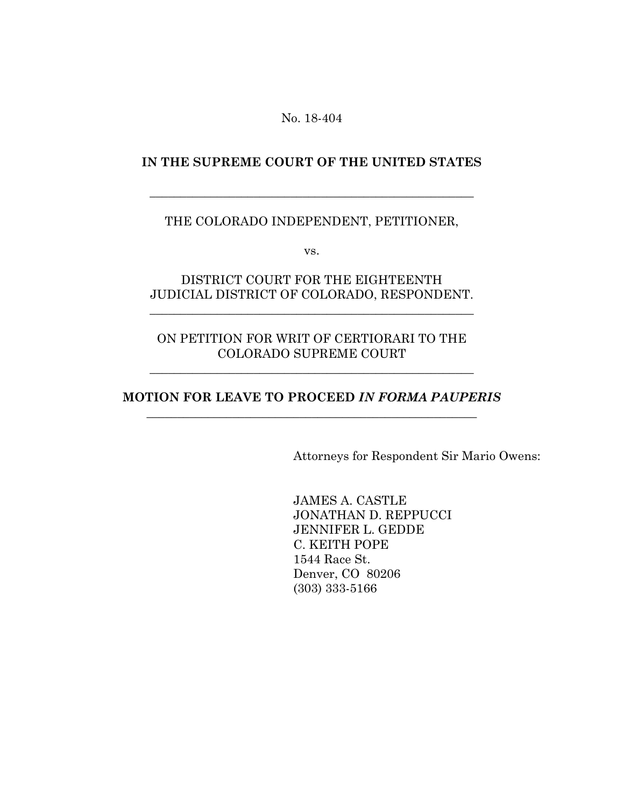No. 18-404

#### **IN THE SUPREME COURT OF THE UNITED STATES**

\_\_\_\_\_\_\_\_\_\_\_\_\_\_\_\_\_\_\_\_\_\_\_\_\_\_\_\_\_\_\_\_\_\_\_\_\_\_\_\_\_\_\_\_\_\_\_\_\_\_\_\_\_

#### THE COLORADO INDEPENDENT, PETITIONER,

vs.

# DISTRICT COURT FOR THE EIGHTEENTH JUDICIAL DISTRICT OF COLORADO, RESPONDENT.

\_\_\_\_\_\_\_\_\_\_\_\_\_\_\_\_\_\_\_\_\_\_\_\_\_\_\_\_\_\_\_\_\_\_\_\_\_\_\_\_\_\_\_\_\_\_\_\_\_\_\_\_\_

# ON PETITION FOR WRIT OF CERTIORARI TO THE COLORADO SUPREME COURT

\_\_\_\_\_\_\_\_\_\_\_\_\_\_\_\_\_\_\_\_\_\_\_\_\_\_\_\_\_\_\_\_\_\_\_\_\_\_\_\_\_\_\_\_\_\_\_\_\_\_\_\_\_

### **MOTION FOR LEAVE TO PROCEED** *IN FORMA PAUPERIS \_\_\_\_\_\_\_\_\_\_\_\_\_\_\_\_\_\_\_\_\_\_\_\_\_\_\_\_\_\_\_\_\_\_\_\_\_\_\_\_\_\_\_\_\_\_\_\_\_\_\_\_\_\_*

Attorneys for Respondent Sir Mario Owens:

JAMES A. CASTLE JONATHAN D. REPPUCCI JENNIFER L. GEDDE C. KEITH POPE 1544 Race St. Denver, CO 80206 (303) 333-5166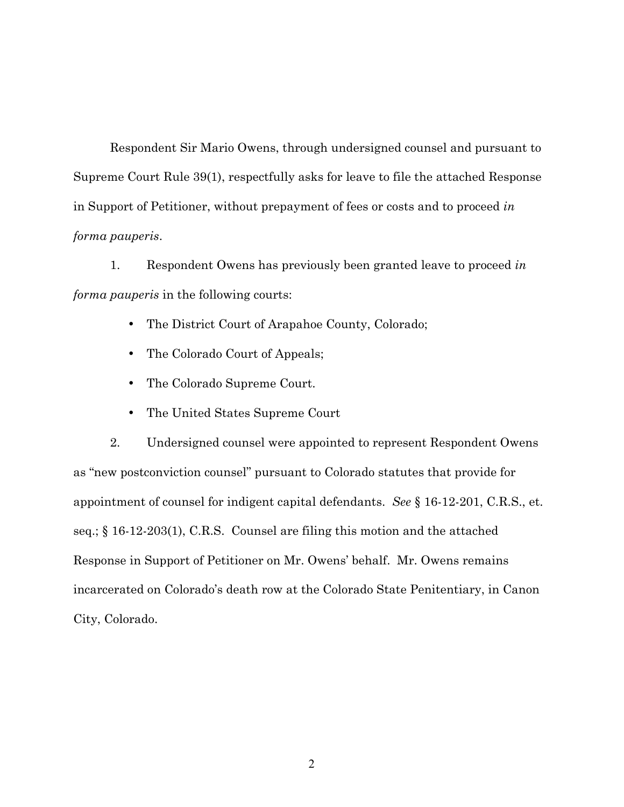Respondent Sir Mario Owens, through undersigned counsel and pursuant to Supreme Court Rule 39(1), respectfully asks for leave to file the attached Response in Support of Petitioner, without prepayment of fees or costs and to proceed *in forma pauperis*.

1. Respondent Owens has previously been granted leave to proceed *in forma pauperis* in the following courts:

- The District Court of Arapahoe County, Colorado;
- The Colorado Court of Appeals;
- The Colorado Supreme Court.
- The United States Supreme Court

2. Undersigned counsel were appointed to represent Respondent Owens as "new postconviction counsel" pursuant to Colorado statutes that provide for appointment of counsel for indigent capital defendants. *See* § 16-12-201, C.R.S., et. seq.; § 16-12-203(1), C.R.S. Counsel are filing this motion and the attached Response in Support of Petitioner on Mr. Owens' behalf. Mr. Owens remains incarcerated on Colorado's death row at the Colorado State Penitentiary, in Canon City, Colorado.